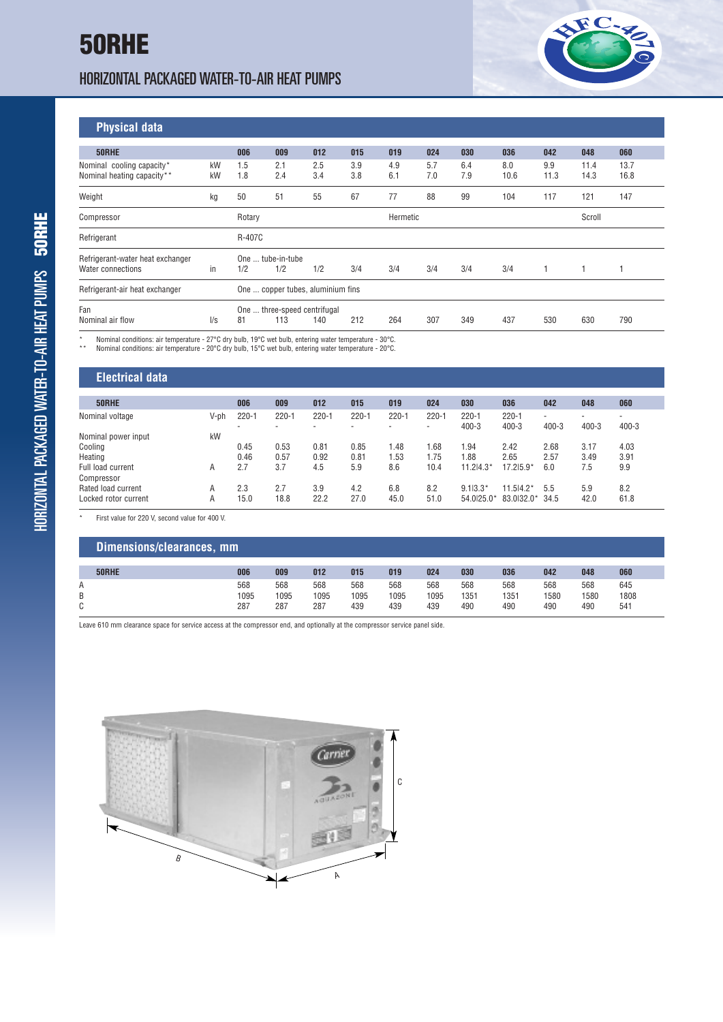## HORIZONTAL PACKAGED WATER-TO-AIR HEAT PUMPS



**Physical data**

| . <b> </b>                       |               |                              |     |     |     |          |        |     |      |      |      |      |  |
|----------------------------------|---------------|------------------------------|-----|-----|-----|----------|--------|-----|------|------|------|------|--|
|                                  |               |                              |     |     |     |          |        |     |      |      |      |      |  |
| 50RHE                            |               | 006                          | 009 | 012 | 015 | 019      | 024    | 030 | 036  | 042  | 048  | 060  |  |
| Nominal cooling capacity*        | kW            | 1.5                          | 2.1 | 2.5 | 3.9 | 4.9      | 5.7    | 6.4 | 8.0  | 9.9  | 11.4 | 13.7 |  |
| Nominal heating capacity**       | kW            | 1.8                          | 2.4 | 3.4 | 3.8 | 6.1      | 7.0    | 7.9 | 10.6 | 11.3 | 14.3 | 16.8 |  |
| Weight                           | kg            | 50                           | 51  | 55  | 67  | 77       | 88     | 99  | 104  | 117  | 121  | 147  |  |
| Compressor                       |               | Rotary                       |     |     |     | Hermetic | Scroll |     |      |      |      |      |  |
| Refrigerant                      |               | R-407C                       |     |     |     |          |        |     |      |      |      |      |  |
| Refrigerant-water heat exchanger |               | One  tube-in-tube            |     |     |     |          |        |     |      |      |      |      |  |
| Water connections                | in            | 1/2                          | 1/2 | 1/2 | 3/4 | 3/4      | 3/4    | 3/4 | 3/4  |      |      |      |  |
| Refrigerant-air heat exchanger   |               |                              |     |     |     |          |        |     |      |      |      |      |  |
| Fan                              |               | One  three-speed centrifugal |     |     |     |          |        |     |      |      |      |      |  |
| Nominal air flow                 | $\frac{1}{s}$ | 81                           | 113 | 140 | 212 | 264      | 307    | 349 | 437  | 530  | 630  | 790  |  |
|                                  |               |                              |     |     |     |          |        |     |      |      |      |      |  |

\* Nominal conditions: air temperature - 27°C dry bulb, 19°C wet bulb, entering water temperature - 30°C. \*\* Nominal conditions: air temperature - 20°C dry bulb, 15°C wet bulb, entering water temperature - 20°C.

## **Electrical data**

| 50RHE                           |      | 006       | 009                                   | 012       | 015                                   | 019       | 024            | 030                    | 036                    | 042       | 048       | 060                                   |
|---------------------------------|------|-----------|---------------------------------------|-----------|---------------------------------------|-----------|----------------|------------------------|------------------------|-----------|-----------|---------------------------------------|
| Nominal voltage                 | V-ph | $220 - 1$ | $220 - 1$<br>$\overline{\phantom{a}}$ | $220 - 1$ | $220 - 1$<br>$\overline{\phantom{a}}$ | $220 - 1$ | $220 - 1$<br>۰ | $220 - 1$<br>$400 - 3$ | $220 - 1$<br>$400 - 3$ | $400 - 3$ | $400 - 3$ | $\overline{\phantom{a}}$<br>$400 - 3$ |
| Nominal power input             | kW   |           |                                       |           |                                       |           |                |                        |                        |           |           |                                       |
| Cooling                         |      | 0.45      | 0.53                                  | 0.81      | 0.85                                  | 1.48      | 1.68           | 1.94                   | 2.42                   | 2.68      | 3.17      | 4.03                                  |
| Heating                         |      | 0.46      | 0.57                                  | 0.92      | 0.81                                  | 1.53      | .75            | 1.88                   | 2.65                   | 2.57      | 3.49      | 3.91                                  |
| Full load current<br>Compressor | A    | 2.7       | 3.7                                   | 4.5       | 5.9                                   | 8.6       | 10.4           | $11.214.3*$            | 17.215.9*              | 6.0       | 7.5       | 9.9                                   |
| Rated load current              | A    | 2.3       | 2.7                                   | 3.9       | 4.2                                   | 6.8       | 8.2            | $9.113.3*$             | 11.514.2*              | 5.5       | 5.9       | 8.2                                   |
| Locked rotor current            | A    | 15.0      | 18.8                                  | 22.2      | 27.0                                  | 45.0      | 51.0           | 54.0125.0*             | 83.0132.0*             | 34.5      | 42.0      | 61.8                                  |
|                                 |      |           |                                       |           |                                       |           |                |                        |                        |           |           |                                       |

\* First value for 220 V, second value for 400 V.

|        | Dimensions/clearances, mm |      |      |      |      |      |      |      |      |      |      |      |  |
|--------|---------------------------|------|------|------|------|------|------|------|------|------|------|------|--|
|        |                           |      |      |      |      |      |      |      |      |      |      |      |  |
|        | 50RHE                     | 006  | 009  | 012  | 015  | 019  | 024  | 030  | 036  | 042  | 048  | 060  |  |
| А      |                           | 568  | 568  | 568  | 568  | 568  | 568  | 568  | 568  | 568  | 568  | 645  |  |
| B      |                           | 1095 | 1095 | 1095 | 1095 | 1095 | 1095 | 1351 | 1351 | 1580 | 1580 | 1808 |  |
| ⌒<br>U |                           | 287  | 287  | 287  | 439  | 439  | 439  | 490  | 490  | 490  | 490  | 541  |  |

Leave 610 mm clearance space for service access at the compressor end, and optionally at the compressor service panel side.